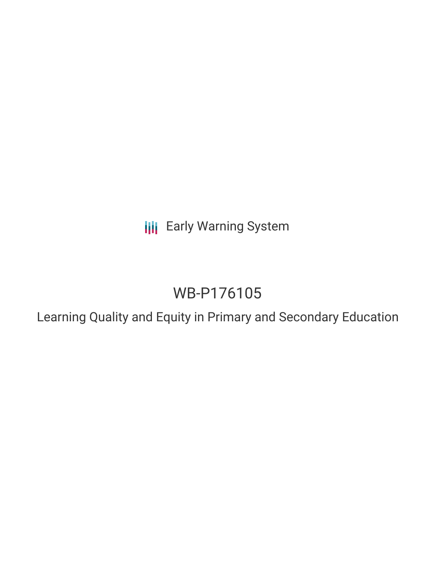**III** Early Warning System

# WB-P176105

Learning Quality and Equity in Primary and Secondary Education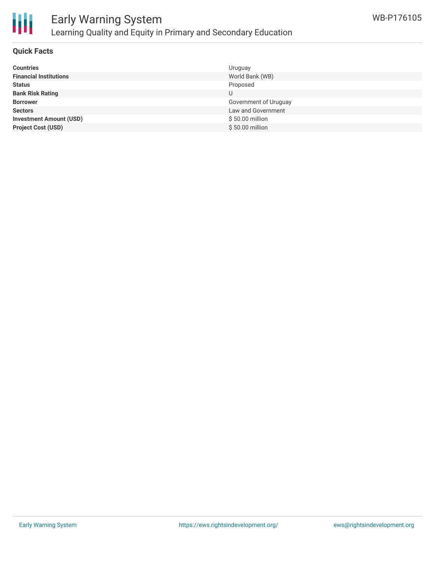

### **Quick Facts**

| <b>Countries</b>               | Uruguay               |
|--------------------------------|-----------------------|
| <b>Financial Institutions</b>  | World Bank (WB)       |
| <b>Status</b>                  | Proposed              |
| <b>Bank Risk Rating</b>        | U                     |
| <b>Borrower</b>                | Government of Uruguay |
| <b>Sectors</b>                 | Law and Government    |
| <b>Investment Amount (USD)</b> | \$50.00 million       |
| <b>Project Cost (USD)</b>      | \$50.00 million       |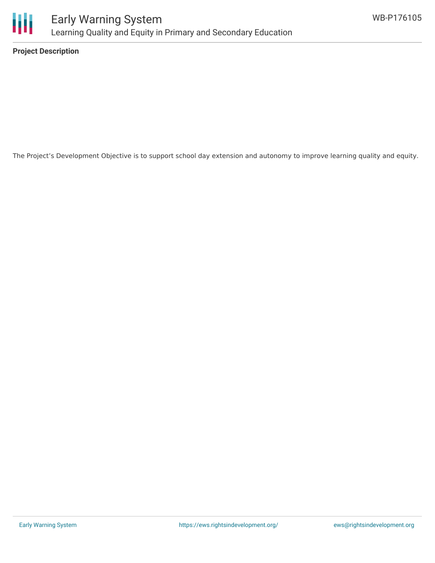

**Project Description**

The Project's Development Objective is to support school day extension and autonomy to improve learning quality and equity.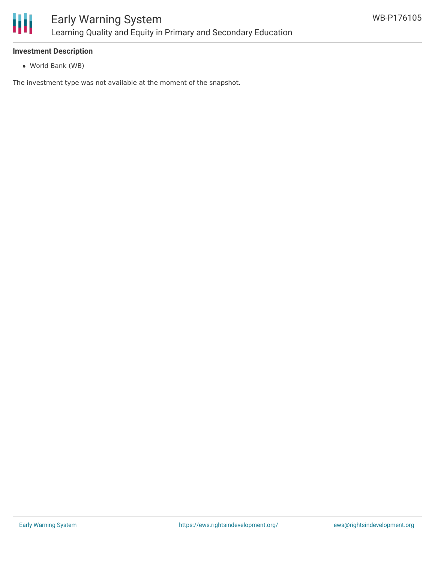

# **Investment Description**

World Bank (WB)

The investment type was not available at the moment of the snapshot.